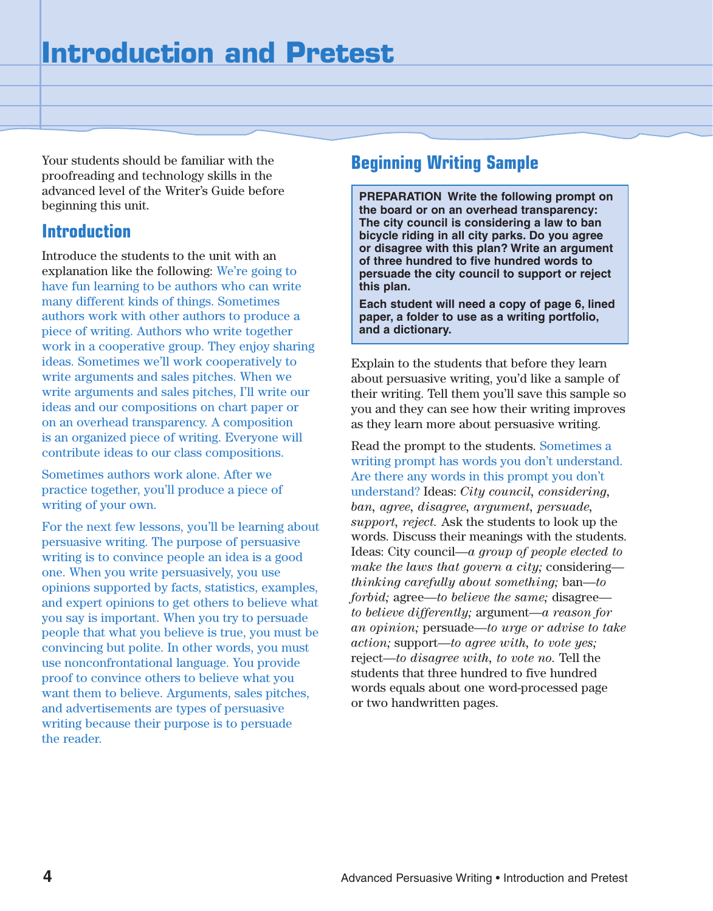Your students should be familiar with the proofreading and technology skills in the advanced level of the Writer's Guide before beginning this unit.

## **Introduction**

Introduce the students to the unit with an explanation like the following: We're going to have fun learning to be authors who can write many different kinds of things. Sometimes authors work with other authors to produce a piece of writing. Authors who write together work in a cooperative group. They enjoy sharing ideas. Sometimes we'll work cooperatively to write arguments and sales pitches. When we write arguments and sales pitches, I'll write our ideas and our compositions on chart paper or on an overhead transparency. A composition is an organized piece of writing. Everyone will contribute ideas to our class compositions.

Sometimes authors work alone. After we practice together, you'll produce a piece of writing of your own.

For the next few lessons, you'll be learning about persuasive writing. The purpose of persuasive writing is to convince people an idea is a good one. When you write persuasively, you use opinions supported by facts, statistics, examples, and expert opinions to get others to believe what you say is important. When you try to persuade people that what you believe is true, you must be convincing but polite. In other words, you must use nonconfrontational language. You provide proof to convince others to believe what you want them to believe. Arguments, sales pitches, and advertisements are types of persuasive writing because their purpose is to persuade the reader.

## **Beginning Writing Sample**

**PREPARATION Write the following prompt on the board or on an overhead transparency: The city council is considering a law to ban bicycle riding in all city parks. Do you agree or disagree with this plan? Write an argument of three hundred to five hundred words to persuade the city council to support or reject this plan.**

**Each student will need a copy of page 6, lined paper, a folder to use as a writing portfolio, and a dictionary.**

Explain to the students that before they learn about persuasive writing, you'd like a sample of their writing. Tell them you'll save this sample so you and they can see how their writing improves as they learn more about persuasive writing.

Read the prompt to the students. Sometimes a writing prompt has words you don't understand. Are there any words in this prompt you don't understand? Ideas: *City council, considering, ban, agree, disagree, argument, persuade, support, reject.* Ask the students to look up the words. Discuss their meanings with the students. Ideas: City council—*a group of people elected to make the laws that govern a city;* considering *thinking carefully about something;* ban—*to forbid;* agree—*to believe the same;* disagree *to believe differently;* argument—*a reason for an opinion;* persuade—*to urge or advise to take action;* support—*to agree with, to vote yes;* reject—*to disagree with, to vote no.* Tell the students that three hundred to five hundred words equals about one word-processed page or two handwritten pages.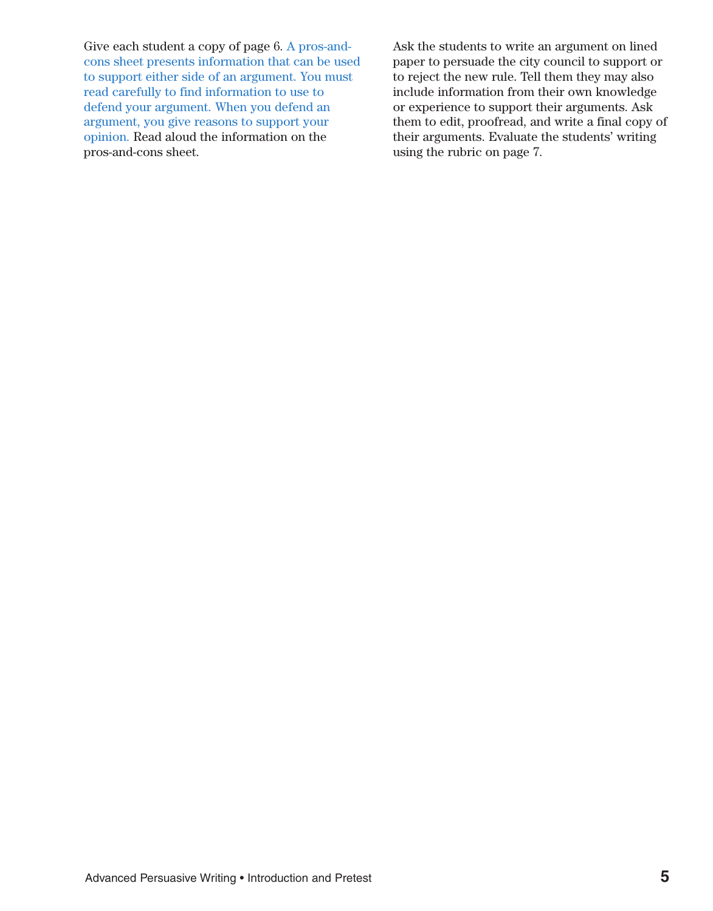Give each student a copy of page 6. A pros-andcons sheet presents information that can be used to support either side of an argument. You must read carefully to find information to use to defend your argument. When you defend an argument, you give reasons to support your opinion. Read aloud the information on the pros-and-cons sheet.

Ask the students to write an argument on lined paper to persuade the city council to support or to reject the new rule. Tell them they may also include information from their own knowledge or experience to support their arguments. Ask them to edit, proofread, and write a final copy of their arguments. Evaluate the students' writing using the rubric on page 7.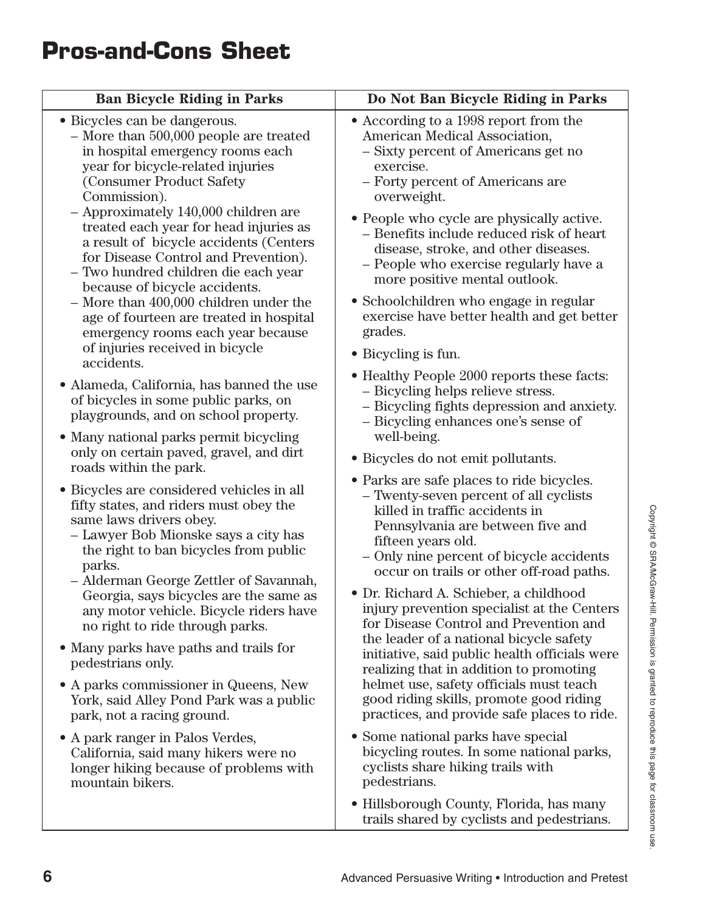| <b>Ban Bicycle Riding in Parks</b>                                                                                                                                                                                                                                                                                                                                                                                                         | Do Not Ban Bicycle Riding in Parks                                                                                                                                                                                                                                                                                                                                |
|--------------------------------------------------------------------------------------------------------------------------------------------------------------------------------------------------------------------------------------------------------------------------------------------------------------------------------------------------------------------------------------------------------------------------------------------|-------------------------------------------------------------------------------------------------------------------------------------------------------------------------------------------------------------------------------------------------------------------------------------------------------------------------------------------------------------------|
| • Bicycles can be dangerous.<br>$-$ More than 500,000 people are treated<br>in hospital emergency rooms each<br>year for bicycle-related injuries<br>(Consumer Product Safety<br>Commission).<br>- Approximately 140,000 children are<br>treated each year for head injuries as<br>a result of bicycle accidents (Centers<br>for Disease Control and Prevention).<br>- Two hundred children die each year<br>because of bicycle accidents. | • According to a 1998 report from the<br>American Medical Association,<br>- Sixty percent of Americans get no<br>exercise.<br>- Forty percent of Americans are<br>overweight.                                                                                                                                                                                     |
|                                                                                                                                                                                                                                                                                                                                                                                                                                            | • People who cycle are physically active.<br>- Benefits include reduced risk of heart<br>disease, stroke, and other diseases.<br>- People who exercise regularly have a<br>more positive mental outlook.                                                                                                                                                          |
| $-$ More than 400,000 children under the<br>age of fourteen are treated in hospital<br>emergency rooms each year because                                                                                                                                                                                                                                                                                                                   | • Schoolchildren who engage in regular<br>exercise have better health and get better<br>grades.                                                                                                                                                                                                                                                                   |
| of injuries received in bicycle<br>accidents.                                                                                                                                                                                                                                                                                                                                                                                              | • Bicycling is fun.                                                                                                                                                                                                                                                                                                                                               |
| • Alameda, California, has banned the use<br>of bicycles in some public parks, on<br>playgrounds, and on school property.                                                                                                                                                                                                                                                                                                                  | • Healthy People 2000 reports these facts:<br>- Bicycling helps relieve stress.<br>- Bicycling fights depression and anxiety.<br>- Bicycling enhances one's sense of                                                                                                                                                                                              |
| • Many national parks permit bicycling<br>only on certain paved, gravel, and dirt<br>roads within the park.                                                                                                                                                                                                                                                                                                                                | well-being.<br>• Bicycles do not emit pollutants.                                                                                                                                                                                                                                                                                                                 |
| • Bicycles are considered vehicles in all<br>fifty states, and riders must obey the<br>same laws drivers obey.<br>- Lawyer Bob Mionske says a city has<br>the right to ban bicycles from public<br>parks.<br>- Alderman George Zettler of Savannah,<br>Georgia, says bicycles are the same as<br>any motor vehicle. Bicycle riders have                                                                                                    | • Parks are safe places to ride bicycles.<br>- Twenty-seven percent of all cyclists<br>killed in traffic accidents in<br>Pennsylvania are between five and<br>fifteen years old.<br>- Only nine percent of bicycle accidents<br>occur on trails or other off-road paths.<br>• Dr. Richard A. Schieber, a childhood<br>injury prevention specialist at the Centers |
| no right to ride through parks.                                                                                                                                                                                                                                                                                                                                                                                                            | for Disease Control and Prevention and<br>the leader of a national bicycle safety                                                                                                                                                                                                                                                                                 |
| • Many parks have paths and trails for<br>pedestrians only.                                                                                                                                                                                                                                                                                                                                                                                | initiative, said public health officials were<br>realizing that in addition to promoting                                                                                                                                                                                                                                                                          |
| • A parks commissioner in Queens, New<br>York, said Alley Pond Park was a public<br>park, not a racing ground.                                                                                                                                                                                                                                                                                                                             | helmet use, safety officials must teach<br>good riding skills, promote good riding<br>practices, and provide safe places to ride.                                                                                                                                                                                                                                 |
| • A park ranger in Palos Verdes,<br>California, said many hikers were no<br>longer hiking because of problems with<br>mountain bikers.                                                                                                                                                                                                                                                                                                     | • Some national parks have special<br>bicycling routes. In some national parks,<br>cyclists share hiking trails with<br>pedestrians.                                                                                                                                                                                                                              |
|                                                                                                                                                                                                                                                                                                                                                                                                                                            | • Hillsborough County, Florida, has many<br>trails shared by cyclists and pedestrians.                                                                                                                                                                                                                                                                            |